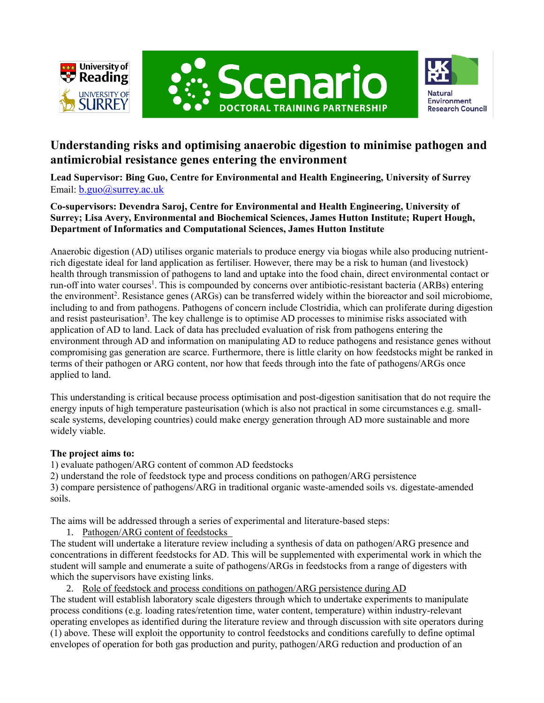





# **Understanding risks and optimising anaerobic digestion to minimise pathogen and antimicrobial resistance genes entering the environment**

**Lead Supervisor: Bing Guo, Centre for Environmental and Health Engineering, University of Surrey** Email: [b.guo@surrey.ac.uk](mailto:b.guo@surrey.ac.uk)

# **Co-supervisors: Devendra Saroj, Centre for Environmental and Health Engineering, University of Surrey; Lisa Avery, Environmental and Biochemical Sciences, James Hutton Institute; Rupert Hough, Department of Informatics and Computational Sciences, James Hutton Institute**

Anaerobic digestion (AD) utilises organic materials to produce energy via biogas while also producing nutrientrich digestate ideal for land application as fertiliser. However, there may be a risk to human (and livestock) health through transmission of pathogens to land and uptake into the food chain, direct environmental contact or run-off into water courses<sup>1</sup>. This is compounded by concerns over antibiotic-resistant bacteria (ARBs) entering the environment<sup>2</sup>. Resistance genes (ARGs) can be transferred widely within the bioreactor and soil microbiome, including to and from pathogens. Pathogens of concern include Clostridia, which can proliferate during digestion and resist pasteurisation<sup>3</sup>. The key challenge is to optimise AD processes to minimise risks associated with application of AD to land. Lack of data has precluded evaluation of risk from pathogens entering the environment through AD and information on manipulating AD to reduce pathogens and resistance genes without compromising gas generation are scarce. Furthermore, there is little clarity on how feedstocks might be ranked in terms of their pathogen or ARG content, nor how that feeds through into the fate of pathogens/ARGs once applied to land.

This understanding is critical because process optimisation and post-digestion sanitisation that do not require the energy inputs of high temperature pasteurisation (which is also not practical in some circumstances e.g. smallscale systems, developing countries) could make energy generation through AD more sustainable and more widely viable.

# **The project aims to:**

1) evaluate pathogen/ARG content of common AD feedstocks

2) understand the role of feedstock type and process conditions on pathogen/ARG persistence 3) compare persistence of pathogens/ARG in traditional organic waste-amended soils vs. digestate-amended soils.

The aims will be addressed through a series of experimental and literature-based steps:

1. Pathogen/ARG content of feedstocks

The student will undertake a literature review including a synthesis of data on pathogen/ARG presence and concentrations in different feedstocks for AD. This will be supplemented with experimental work in which the student will sample and enumerate a suite of pathogens/ARGs in feedstocks from a range of digesters with which the supervisors have existing links.

2. Role of feedstock and process conditions on pathogen/ARG persistence during AD The student will establish laboratory scale digesters through which to undertake experiments to manipulate process conditions (e.g. loading rates/retention time, water content, temperature) within industry-relevant operating envelopes as identified during the literature review and through discussion with site operators during (1) above. These will exploit the opportunity to control feedstocks and conditions carefully to define optimal envelopes of operation for both gas production and purity, pathogen/ARG reduction and production of an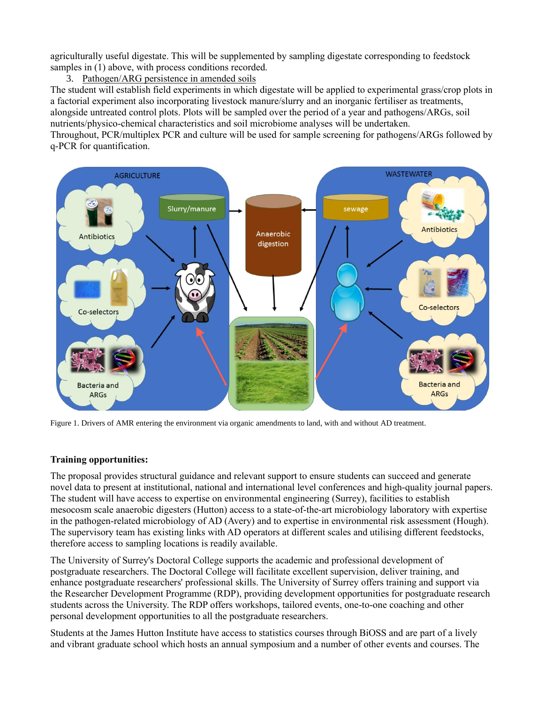agriculturally useful digestate. This will be supplemented by sampling digestate corresponding to feedstock samples in (1) above, with process conditions recorded.

## 3. Pathogen/ARG persistence in amended soils

The student will establish field experiments in which digestate will be applied to experimental grass/crop plots in a factorial experiment also incorporating livestock manure/slurry and an inorganic fertiliser as treatments, alongside untreated control plots. Plots will be sampled over the period of a year and pathogens/ARGs, soil nutrients/physico-chemical characteristics and soil microbiome analyses will be undertaken.

Throughout, PCR/multiplex PCR and culture will be used for sample screening for pathogens/ARGs followed by q-PCR for quantification.



Figure 1. Drivers of AMR entering the environment via organic amendments to land, with and without AD treatment.

#### **Training opportunities:**

The proposal provides structural guidance and relevant support to ensure students can succeed and generate novel data to present at institutional, national and international level conferences and high-quality journal papers. The student will have access to expertise on environmental engineering (Surrey), facilities to establish mesocosm scale anaerobic digesters (Hutton) access to a state-of-the-art microbiology laboratory with expertise in the pathogen-related microbiology of AD (Avery) and to expertise in environmental risk assessment (Hough). The supervisory team has existing links with AD operators at different scales and utilising different feedstocks, therefore access to sampling locations is readily available.

The University of Surrey's Doctoral College supports the academic and professional development of postgraduate researchers. The Doctoral College will facilitate excellent supervision, deliver training, and enhance postgraduate researchers' professional skills. The University of Surrey offers training and support via the Researcher Development Programme (RDP), providing development opportunities for postgraduate research students across the University. The RDP offers workshops, tailored events, one-to-one coaching and other personal development opportunities to all the postgraduate researchers.

Students at the James Hutton Institute have access to statistics courses through BiOSS and are part of a lively and vibrant graduate school which hosts an annual symposium and a number of other events and courses. The